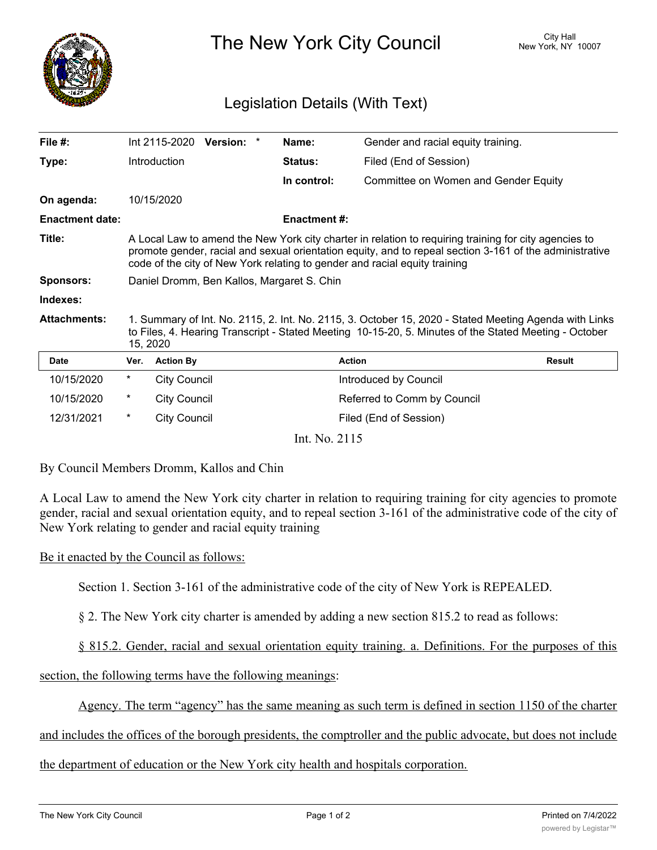

The New York City Council New York, NY 10007

## Legislation Details (With Text)

| File #:                |                                                                                                                                                                                                                                                                                                | Int 2115-2020       | <b>Version:</b><br>* | Name:               | Gender and racial equity training.   |               |
|------------------------|------------------------------------------------------------------------------------------------------------------------------------------------------------------------------------------------------------------------------------------------------------------------------------------------|---------------------|----------------------|---------------------|--------------------------------------|---------------|
| Type:                  |                                                                                                                                                                                                                                                                                                | Introduction        |                      | <b>Status:</b>      | Filed (End of Session)               |               |
|                        |                                                                                                                                                                                                                                                                                                |                     |                      | In control:         | Committee on Women and Gender Equity |               |
| On agenda:             |                                                                                                                                                                                                                                                                                                | 10/15/2020          |                      |                     |                                      |               |
| <b>Enactment date:</b> |                                                                                                                                                                                                                                                                                                |                     |                      | <b>Enactment #:</b> |                                      |               |
| Title:                 | A Local Law to amend the New York city charter in relation to requiring training for city agencies to<br>promote gender, racial and sexual orientation equity, and to repeal section 3-161 of the administrative<br>code of the city of New York relating to gender and racial equity training |                     |                      |                     |                                      |               |
| <b>Sponsors:</b>       | Daniel Dromm, Ben Kallos, Margaret S. Chin                                                                                                                                                                                                                                                     |                     |                      |                     |                                      |               |
| Indexes:               |                                                                                                                                                                                                                                                                                                |                     |                      |                     |                                      |               |
| <b>Attachments:</b>    | 1. Summary of Int. No. 2115, 2. Int. No. 2115, 3. October 15, 2020 - Stated Meeting Agenda with Links<br>to Files, 4. Hearing Transcript - Stated Meeting 10-15-20, 5. Minutes of the Stated Meeting - October<br>15, 2020                                                                     |                     |                      |                     |                                      |               |
| <b>Date</b>            | Ver.                                                                                                                                                                                                                                                                                           | <b>Action By</b>    |                      |                     | <b>Action</b>                        | <b>Result</b> |
| 10/15/2020             | $^\star$                                                                                                                                                                                                                                                                                       | <b>City Council</b> |                      |                     | Introduced by Council                |               |
| 10/15/2020             | $^\star$                                                                                                                                                                                                                                                                                       | <b>City Council</b> |                      |                     | Referred to Comm by Council          |               |
| 12/31/2021             | $^\star$                                                                                                                                                                                                                                                                                       | <b>City Council</b> |                      |                     | Filed (End of Session)               |               |

Int. No. 2115

By Council Members Dromm, Kallos and Chin

A Local Law to amend the New York city charter in relation to requiring training for city agencies to promote gender, racial and sexual orientation equity, and to repeal section 3-161 of the administrative code of the city of New York relating to gender and racial equity training

## Be it enacted by the Council as follows:

Section 1. Section 3-161 of the administrative code of the city of New York is REPEALED.

§ 2. The New York city charter is amended by adding a new section 815.2 to read as follows:

§ 815.2. Gender, racial and sexual orientation equity training. a. Definitions. For the purposes of this

section, the following terms have the following meanings:

Agency. The term "agency" has the same meaning as such term is defined in section 1150 of the charter

and includes the offices of the borough presidents, the comptroller and the public advocate, but does not include

## the department of education or the New York city health and hospitals corporation.